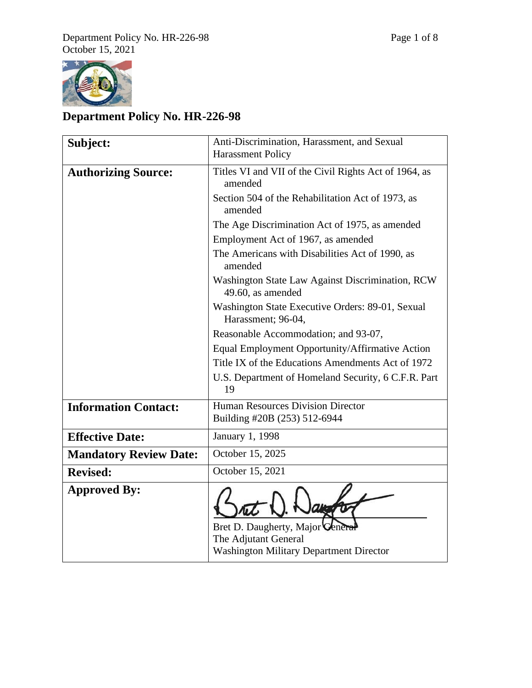

# **Department Policy No. HR-226-98**

| Subject:                      | Anti-Discrimination, Harassment, and Sexual<br><b>Harassment Policy</b>                                |
|-------------------------------|--------------------------------------------------------------------------------------------------------|
| <b>Authorizing Source:</b>    | Titles VI and VII of the Civil Rights Act of 1964, as<br>amended                                       |
|                               | Section 504 of the Rehabilitation Act of 1973, as<br>amended                                           |
|                               | The Age Discrimination Act of 1975, as amended                                                         |
|                               | Employment Act of 1967, as amended                                                                     |
|                               | The Americans with Disabilities Act of 1990, as<br>amended                                             |
|                               | Washington State Law Against Discrimination, RCW<br>49.60, as amended                                  |
|                               | Washington State Executive Orders: 89-01, Sexual<br>Harassment; 96-04,                                 |
|                               | Reasonable Accommodation; and 93-07,                                                                   |
|                               | Equal Employment Opportunity/Affirmative Action                                                        |
|                               | Title IX of the Educations Amendments Act of 1972                                                      |
|                               | U.S. Department of Homeland Security, 6 C.F.R. Part<br>19                                              |
| <b>Information Contact:</b>   | <b>Human Resources Division Director</b><br>Building #20B (253) 512-6944                               |
| <b>Effective Date:</b>        | January 1, 1998                                                                                        |
| <b>Mandatory Review Date:</b> | October 15, 2025                                                                                       |
| <b>Revised:</b>               | October 15, 2021                                                                                       |
| <b>Approved By:</b>           | Bret D. Daugherty, Major Gen<br>The Adjutant General<br><b>Washington Military Department Director</b> |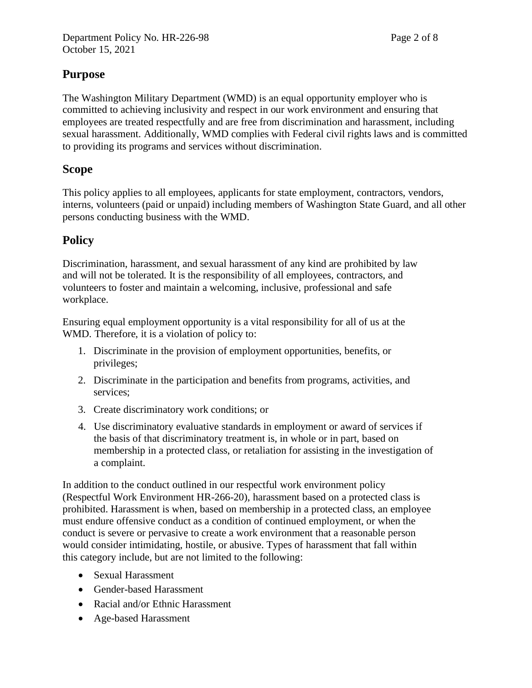### **Purpose**

The Washington Military Department (WMD) is an equal opportunity employer who is committed to achieving inclusivity and respect in our work environment and ensuring that employees are treated respectfully and are free from discrimination and harassment, including sexual harassment. Additionally, WMD complies with Federal civil rights laws and is committed to providing its programs and services without discrimination.

### **Scope**

This policy applies to all employees, applicants for state employment, contractors, vendors, interns, volunteers (paid or unpaid) including members of Washington State Guard, and all other persons conducting business with the WMD.

## **Policy**

Discrimination, harassment, and sexual harassment of any kind are prohibited by law and will not be tolerated. It is the responsibility of all employees, contractors, and volunteers to foster and maintain a welcoming, inclusive, professional and safe workplace.

Ensuring equal employment opportunity is a vital responsibility for all of us at the WMD. Therefore, it is a violation of policy to:

- 1. Discriminate in the provision of employment opportunities, benefits, or privileges;
- 2. Discriminate in the participation and benefits from programs, activities, and services;
- 3. Create discriminatory work conditions; or
- 4. Use discriminatory evaluative standards in employment or award of services if the basis of that discriminatory treatment is, in whole or in part, based on membership in a protected class, or retaliation for assisting in the investigation of a complaint.

In addition to the conduct outlined in our respectful work environment policy (Respectful Work Environment HR-266-20), harassment based on a protected class is prohibited. Harassment is when, based on membership in a protected class, an employee must endure offensive conduct as a condition of continued employment, or when the conduct is severe or pervasive to create a work environment that a reasonable person would consider intimidating, hostile, or abusive. Types of harassment that fall within this category include, but are not limited to the following:

- Sexual Harassment
- Gender-based Harassment
- Racial and/or Ethnic Harassment
- Age-based Harassment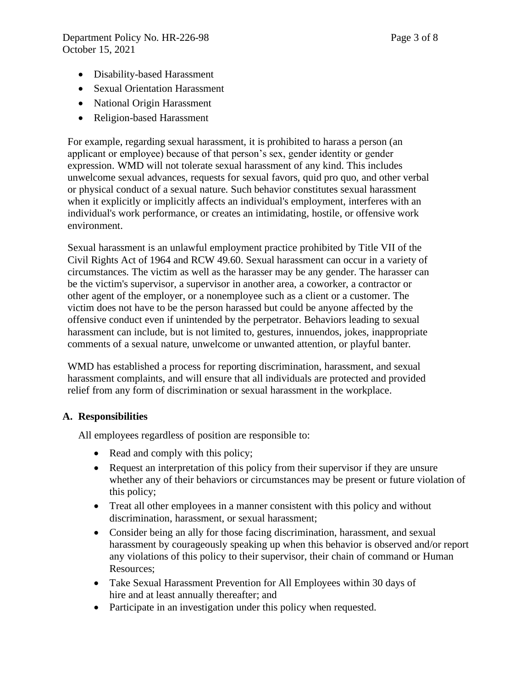- Disability-based Harassment
- Sexual Orientation Harassment
- National Origin Harassment
- Religion-based Harassment

For example, regarding sexual harassment, it is prohibited to harass a person (an applicant or employee) because of that person's sex, gender identity or gender expression. WMD will not tolerate sexual harassment of any kind. This includes unwelcome sexual advances, requests for sexual favors, quid pro quo, and other verbal or physical conduct of a sexual nature. Such behavior constitutes sexual harassment when it explicitly or implicitly affects an individual's employment, interferes with an individual's work performance, or creates an intimidating, hostile, or offensive work environment.

Sexual harassment is an unlawful employment practice prohibited by Title VII of the Civil Rights Act of 1964 and RCW 49.60. Sexual harassment can occur in a variety of circumstances. The victim as well as the harasser may be any gender. The harasser can be the victim's supervisor, a supervisor in another area, a coworker, a contractor or other agent of the employer, or a nonemployee such as a client or a customer. The victim does not have to be the person harassed but could be anyone affected by the offensive conduct even if unintended by the perpetrator. Behaviors leading to sexual harassment can include, but is not limited to, gestures, innuendos, jokes, inappropriate comments of a sexual nature, unwelcome or unwanted attention, or playful banter.

WMD has established a process for reporting discrimination, harassment, and sexual harassment complaints, and will ensure that all individuals are protected and provided relief from any form of discrimination or sexual harassment in the workplace.

#### **A. Responsibilities**

All employees regardless of position are responsible to:

- Read and comply with this policy;
- Request an interpretation of this policy from their supervisor if they are unsure whether any of their behaviors or circumstances may be present or future violation of this policy;
- Treat all other employees in a manner consistent with this policy and without discrimination, harassment, or sexual harassment;
- Consider being an ally for those facing discrimination, harassment, and sexual harassment by courageously speaking up when this behavior is observed and/or report any violations of this policy to their supervisor, their chain of command or Human Resources;
- Take Sexual Harassment Prevention for All Employees within 30 days of hire and at least annually thereafter; and
- Participate in an investigation under this policy when requested.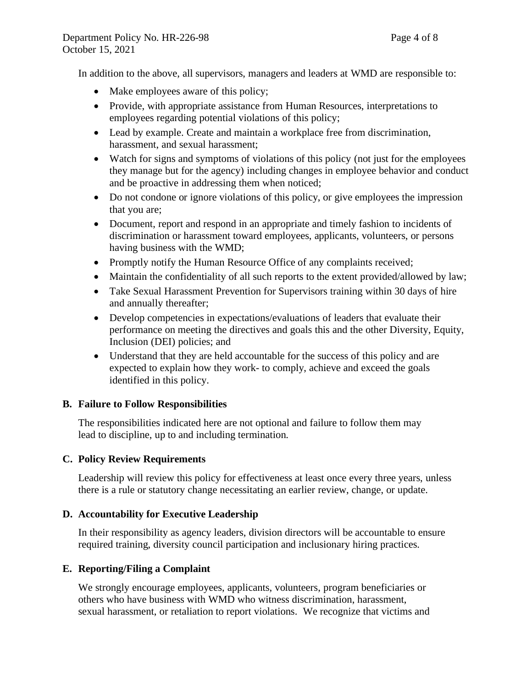In addition to the above, all supervisors, managers and leaders at WMD are responsible to:

- Make employees aware of this policy;
- Provide, with appropriate assistance from Human Resources, interpretations to employees regarding potential violations of this policy;
- Lead by example. Create and maintain a workplace free from discrimination, harassment, and sexual harassment;
- Watch for signs and symptoms of violations of this policy (not just for the employees they manage but for the agency) including changes in employee behavior and conduct and be proactive in addressing them when noticed;
- Do not condone or ignore violations of this policy, or give employees the impression that you are;
- Document, report and respond in an appropriate and timely fashion to incidents of discrimination or harassment toward employees, applicants, volunteers, or persons having business with the WMD;
- Promptly notify the Human Resource Office of any complaints received;
- Maintain the confidentiality of all such reports to the extent provided/allowed by law;
- Take Sexual Harassment Prevention for Supervisors training within 30 days of hire and annually thereafter;
- Develop competencies in expectations/evaluations of leaders that evaluate their performance on meeting the directives and goals this and the other Diversity, Equity, Inclusion (DEI) policies; and
- Understand that they are held accountable for the success of this policy and are expected to explain how they work- to comply, achieve and exceed the goals identified in this policy.

#### **B. Failure to Follow Responsibilities**

The responsibilities indicated here are not optional and failure to follow them may lead to discipline, up to and including termination.

#### **C. Policy Review Requirements**

Leadership will review this policy for effectiveness at least once every three years, unless there is a rule or statutory change necessitating an earlier review, change, or update.

#### **D. Accountability for Executive Leadership**

In their responsibility as agency leaders, division directors will be accountable to ensure required training, diversity council participation and inclusionary hiring practices.

#### **E. Reporting/Filing a Complaint**

We strongly encourage employees, applicants, volunteers, program beneficiaries or others who have business with WMD who witness discrimination, harassment, sexual harassment, or retaliation to report violations. We recognize that victims and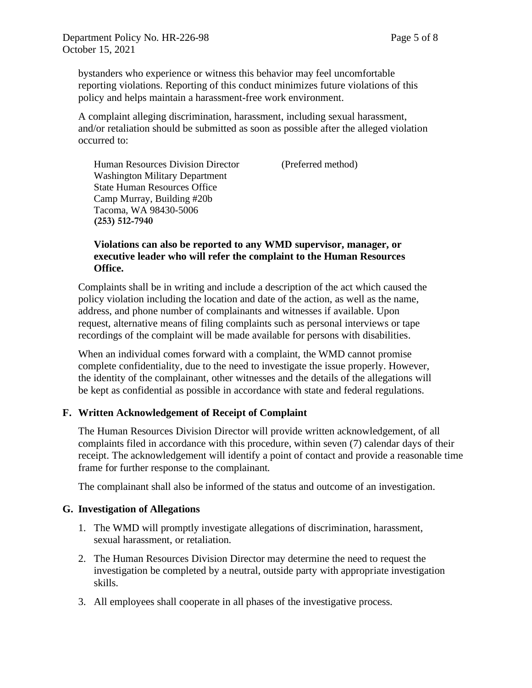bystanders who experience or witness this behavior may feel uncomfortable reporting violations. Reporting of this conduct minimizes future violations of this policy and helps maintain a harassment-free work environment.

A complaint alleging discrimination, harassment, including sexual harassment, and/or retaliation should be submitted as soon as possible after the alleged violation occurred to:

Human Resources Division Director (Preferred method) Washington Military Department State Human Resources Office Camp Murray, Building #20b Tacoma, WA 98430-5006 **(253) 512-7940**

#### **Violations can also be reported to any WMD supervisor, manager, or executive leader who will refer the complaint to the Human Resources Office.**

Complaints shall be in writing and include a description of the act which caused the policy violation including the location and date of the action, as well as the name, address, and phone number of complainants and witnesses if available. Upon request, alternative means of filing complaints such as personal interviews or tape recordings of the complaint will be made available for persons with disabilities.

When an individual comes forward with a complaint, the WMD cannot promise complete confidentiality, due to the need to investigate the issue properly. However, the identity of the complainant, other witnesses and the details of the allegations will be kept as confidential as possible in accordance with state and federal regulations.

#### **F. Written Acknowledgement of Receipt of Complaint**

The Human Resources Division Director will provide written acknowledgement, of all complaints filed in accordance with this procedure, within seven (7) calendar days of their receipt. The acknowledgement will identify a point of contact and provide a reasonable time frame for further response to the complainant.

The complainant shall also be informed of the status and outcome of an investigation.

#### **G. Investigation of Allegations**

- 1. The WMD will promptly investigate allegations of discrimination, harassment, sexual harassment, or retaliation.
- 2. The Human Resources Division Director may determine the need to request the investigation be completed by a neutral, outside party with appropriate investigation skills.
- 3. All employees shall cooperate in all phases of the investigative process.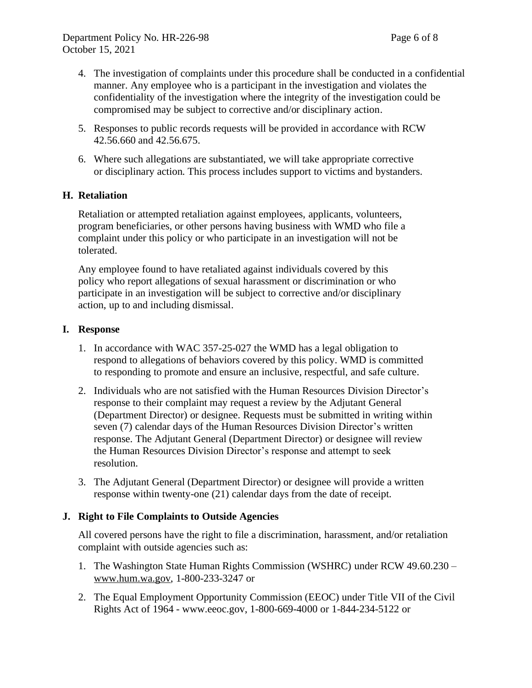- 4. The investigation of complaints under this procedure shall be conducted in a confidential manner. Any employee who is a participant in the investigation and violates the confidentiality of the investigation where the integrity of the investigation could be compromised may be subject to corrective and/or disciplinary action.
- 5. Responses to public records requests will be provided in accordance with RCW 42.56.660 and 42.56.675.
- 6. Where such allegations are substantiated, we will take appropriate corrective or disciplinary action. This process includes support to victims and bystanders.

#### **H. Retaliation**

Retaliation or attempted retaliation against employees, applicants, volunteers, program beneficiaries, or other persons having business with WMD who file a complaint under this policy or who participate in an investigation will not be tolerated.

Any employee found to have retaliated against individuals covered by this policy who report allegations of sexual harassment or discrimination or who participate in an investigation will be subject to corrective and/or disciplinary action, up to and including dismissal.

#### **I. Response**

- 1. In accordance with WAC 357-25-027 the WMD has a legal obligation to respond to allegations of behaviors covered by this policy. WMD is committed to responding to promote and ensure an inclusive, respectful, and safe culture.
- 2. Individuals who are not satisfied with the Human Resources Division Director's response to their complaint may request a review by the Adjutant General (Department Director) or designee. Requests must be submitted in writing within seven (7) calendar days of the Human Resources Division Director's written response. The Adjutant General (Department Director) or designee will review the Human Resources Division Director's response and attempt to seek resolution.
- 3. The Adjutant General (Department Director) or designee will provide a written response within twenty-one (21) calendar days from the date of receipt.

#### **J. Right to File Complaints to Outside Agencies**

All covered persons have the right to file a discrimination, harassment, and/or retaliation complaint with outside agencies such as:

- 1. The Washington State Human Rights Commission (WSHRC) under RCW 49.60.230 [www.hum.wa.gov,](http://www.hum.wa.gov/) 1-800-233-3247 or
- 2. The Equal Employment Opportunity Commission (EEOC) under Title VII of the Civil Rights Act of 1964 - [www.eeoc.gov,](http://www.eeoc.gov/) 1-800-669-4000 or 1-844-234-5122 or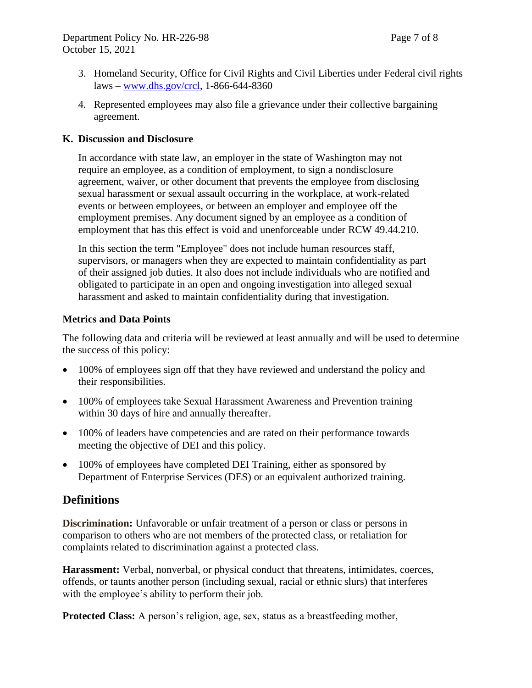- 3. Homeland Security, Office for Civil Rights and Civil Liberties under Federal civil rights laws – [www.dhs.gov/crcl,](http://www.dhs.gov/crcl) 1-866-644-8360
- 4. Represented employees may also file a grievance under their collective bargaining agreement.

#### **K. Discussion and Disclosure**

In accordance with state law, an employer in the state of Washington may not require an employee, as a condition of employment, to sign a nondisclosure agreement, waiver, or other document that prevents the employee from disclosing sexual harassment or sexual assault occurring in the workplace, at work-related events or between employees, or between an employer and employee off the employment premises. Any document signed by an employee as a condition of employment that has this effect is void and unenforceable under RCW 49.44.210.

In this section the term "Employee" does not include human resources staff, supervisors, or managers when they are expected to maintain confidentiality as part of their assigned job duties. It also does not include individuals who are notified and obligated to participate in an open and ongoing investigation into alleged sexual harassment and asked to maintain confidentiality during that investigation.

#### **Metrics and Data Points**

The following data and criteria will be reviewed at least annually and will be used to determine the success of this policy:

- 100% of employees sign off that they have reviewed and understand the policy and their responsibilities.
- 100% of employees take Sexual Harassment Awareness and Prevention training within 30 days of hire and annually thereafter.
- 100% of leaders have competencies and are rated on their performance towards meeting the objective of DEI and this policy.
- 100% of employees have completed DEI Training, either as sponsored by Department of Enterprise Services (DES) or an equivalent authorized training.

### **Definitions**

**Discrimination:** Unfavorable or unfair treatment of a person or class or persons in comparison to others who are not members of the protected class, or retaliation for complaints related to discrimination against a protected class.

**Harassment:** Verbal, nonverbal, or physical conduct that threatens, intimidates, coerces, offends, or taunts another person (including sexual, racial or ethnic slurs) that interferes with the employee's ability to perform their job.

**Protected Class:** A person's religion, age, sex, status as a breastfeeding mother,